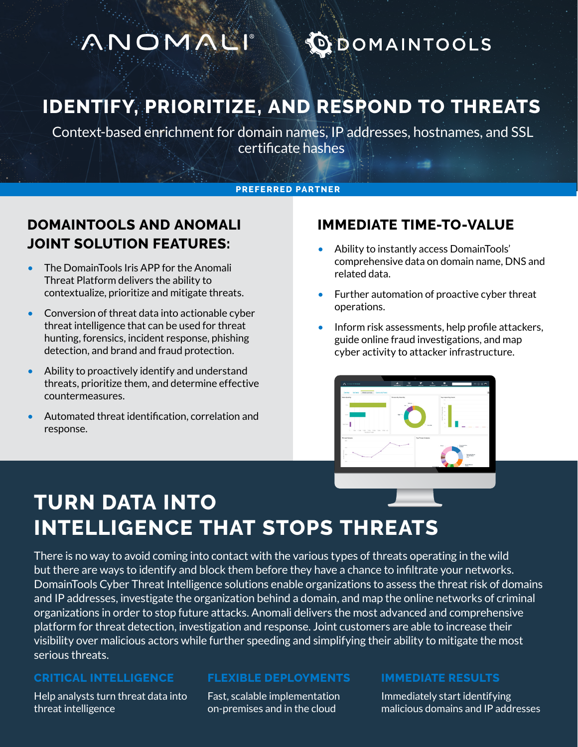# MNOMALI

# **DOMAINTOOLS**

## **IDENTIFY, PRIORITIZE, AND RESPOND TO THREATS**

 Context-based enrichment for domain names, IP addresses, hostnames, and SSL certificate hashes

### **PREFERRED PARTNER**

### **DOMAINTOOLS AND ANOMALI JOINT SOLUTION FEATURES:**

- The DomainTools Iris APP for the Anomali Threat Platform delivers the ability to contextualize, prioritize and mitigate threats.
- Conversion of threat data into actionable cyber threat intelligence that can be used for threat hunting, forensics, incident response, phishing detection, and brand and fraud protection.
- Ability to proactively identify and understand threats, prioritize them, and determine effective countermeasures.
- Automated threat identification, correlation and response.

### **IMMEDIATE TIME-TO-VALUE**

- Ability to instantly access DomainTools' comprehensive data on domain name, DNS and related data.
- Further automation of proactive cyber threat operations.
- Inform risk assessments, help profile attackers, guide online fraud investigations, and map cyber activity to attacker infrastructure.



# **TURN DATA INTO INTELLIGENCE THAT STOPS THREATS**

There is no way to avoid coming into contact with the various types of threats operating in the wild but there are ways to identify and block them before they have a chance to infiltrate your networks. DomainTools Cyber Threat Intelligence solutions enable organizations to assess the threat risk of domains and IP addresses, investigate the organization behind a domain, and map the online networks of criminal organizations in order to stop future attacks. Anomali delivers the most advanced and comprehensive platform for threat detection, investigation and response. Joint customers are able to increase their visibility over malicious actors while further speeding and simplifying their ability to mitigate the most serious threats.

#### **CRITICAL INTELLIGENCE**

Help analysts turn threat data into threat intelligence

#### **FLEXIBLE DEPLOYMENTS**

Fast, scalable implementation on-premises and in the cloud

#### **IMMEDIATE RESULTS**

Immediately start identifying malicious domains and IP addresses